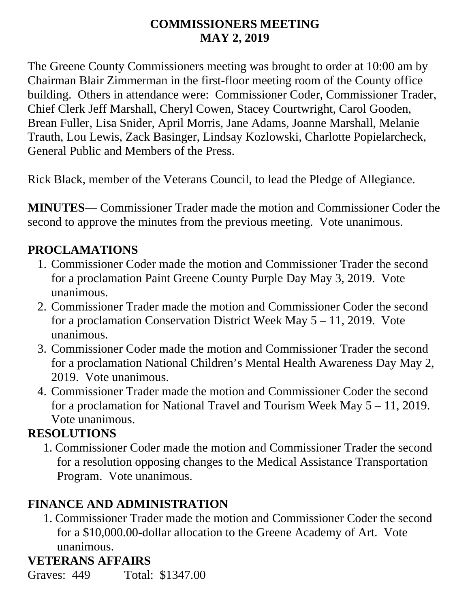#### **COMMISSIONERS MEETING MAY 2, 2019**

The Greene County Commissioners meeting was brought to order at 10:00 am by Chairman Blair Zimmerman in the first-floor meeting room of the County office building. Others in attendance were: Commissioner Coder, Commissioner Trader, Chief Clerk Jeff Marshall, Cheryl Cowen, Stacey Courtwright, Carol Gooden, Brean Fuller, Lisa Snider, April Morris, Jane Adams, Joanne Marshall, Melanie Trauth, Lou Lewis, Zack Basinger, Lindsay Kozlowski, Charlotte Popielarcheck, General Public and Members of the Press.

Rick Black, member of the Veterans Council, to lead the Pledge of Allegiance.

**MINUTES**— Commissioner Trader made the motion and Commissioner Coder the second to approve the minutes from the previous meeting. Vote unanimous.

## **PROCLAMATIONS**

- 1. Commissioner Coder made the motion and Commissioner Trader the second for a proclamation Paint Greene County Purple Day May 3, 2019. Vote unanimous.
- 2. Commissioner Trader made the motion and Commissioner Coder the second for a proclamation Conservation District Week May 5 – 11, 2019. Vote unanimous.
- 3. Commissioner Coder made the motion and Commissioner Trader the second for a proclamation National Children's Mental Health Awareness Day May 2, 2019. Vote unanimous.
- 4. Commissioner Trader made the motion and Commissioner Coder the second for a proclamation for National Travel and Tourism Week May 5 – 11, 2019. Vote unanimous.

#### **RESOLUTIONS**

1. Commissioner Coder made the motion and Commissioner Trader the second for a resolution opposing changes to the Medical Assistance Transportation Program. Vote unanimous.

## **FINANCE AND ADMINISTRATION**

1. Commissioner Trader made the motion and Commissioner Coder the second for a \$10,000.00-dollar allocation to the Greene Academy of Art. Vote unanimous.

#### **VETERANS AFFAIRS**

Graves: 449 Total: \$1347.00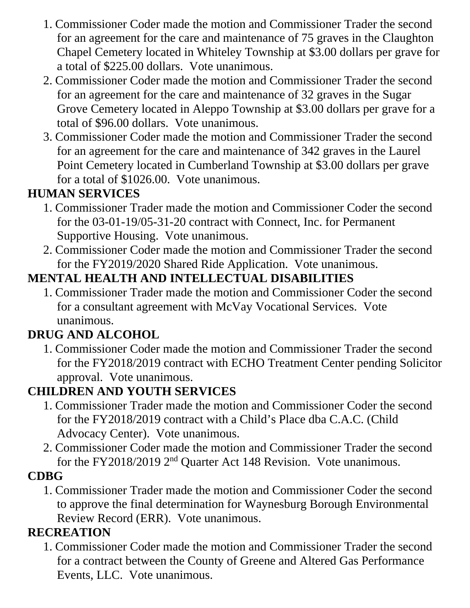- 1. Commissioner Coder made the motion and Commissioner Trader the second for an agreement for the care and maintenance of 75 graves in the Claughton Chapel Cemetery located in Whiteley Township at \$3.00 dollars per grave for a total of \$225.00 dollars. Vote unanimous.
- 2. Commissioner Coder made the motion and Commissioner Trader the second for an agreement for the care and maintenance of 32 graves in the Sugar Grove Cemetery located in Aleppo Township at \$3.00 dollars per grave for a total of \$96.00 dollars. Vote unanimous.
- 3. Commissioner Coder made the motion and Commissioner Trader the second for an agreement for the care and maintenance of 342 graves in the Laurel Point Cemetery located in Cumberland Township at \$3.00 dollars per grave for a total of \$1026.00. Vote unanimous.

# **HUMAN SERVICES**

- 1. Commissioner Trader made the motion and Commissioner Coder the second for the 03-01-19/05-31-20 contract with Connect, Inc. for Permanent Supportive Housing. Vote unanimous.
- 2. Commissioner Coder made the motion and Commissioner Trader the second for the FY2019/2020 Shared Ride Application. Vote unanimous.

# **MENTAL HEALTH AND INTELLECTUAL DISABILITIES**

1. Commissioner Trader made the motion and Commissioner Coder the second for a consultant agreement with McVay Vocational Services. Vote unanimous.

## **DRUG AND ALCOHOL**

1. Commissioner Coder made the motion and Commissioner Trader the second for the FY2018/2019 contract with ECHO Treatment Center pending Solicitor approval. Vote unanimous.

## **CHILDREN AND YOUTH SERVICES**

- 1. Commissioner Trader made the motion and Commissioner Coder the second for the FY2018/2019 contract with a Child's Place dba C.A.C. (Child Advocacy Center). Vote unanimous.
- 2. Commissioner Coder made the motion and Commissioner Trader the second for the FY2018/2019 2nd Quarter Act 148 Revision. Vote unanimous.

#### **CDBG**

1. Commissioner Trader made the motion and Commissioner Coder the second to approve the final determination for Waynesburg Borough Environmental Review Record (ERR). Vote unanimous.

## **RECREATION**

1. Commissioner Coder made the motion and Commissioner Trader the second for a contract between the County of Greene and Altered Gas Performance Events, LLC. Vote unanimous.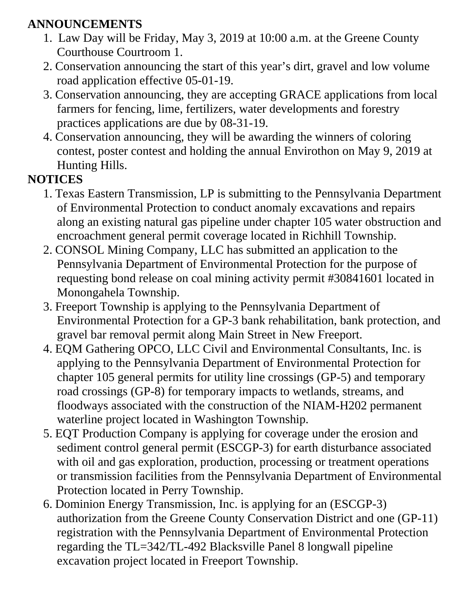#### **ANNOUNCEMENTS**

- 1. Law Day will be Friday, May 3, 2019 at 10:00 a.m. at the Greene County Courthouse Courtroom 1.
- 2. Conservation announcing the start of this year's dirt, gravel and low volume road application effective 05-01-19.
- 3. Conservation announcing, they are accepting GRACE applications from local farmers for fencing, lime, fertilizers, water developments and forestry practices applications are due by 08-31-19.
- 4. Conservation announcing, they will be awarding the winners of coloring contest, poster contest and holding the annual Envirothon on May 9, 2019 at Hunting Hills.

# **NOTICES**

- 1. Texas Eastern Transmission, LP is submitting to the Pennsylvania Department of Environmental Protection to conduct anomaly excavations and repairs along an existing natural gas pipeline under chapter 105 water obstruction and encroachment general permit coverage located in Richhill Township.
- 2. CONSOL Mining Company, LLC has submitted an application to the Pennsylvania Department of Environmental Protection for the purpose of requesting bond release on coal mining activity permit #30841601 located in Monongahela Township.
- 3. Freeport Township is applying to the Pennsylvania Department of Environmental Protection for a GP-3 bank rehabilitation, bank protection, and gravel bar removal permit along Main Street in New Freeport.
- 4. EQM Gathering OPCO, LLC Civil and Environmental Consultants, Inc. is applying to the Pennsylvania Department of Environmental Protection for chapter 105 general permits for utility line crossings (GP-5) and temporary road crossings (GP-8) for temporary impacts to wetlands, streams, and floodways associated with the construction of the NIAM-H202 permanent waterline project located in Washington Township.
- 5. EQT Production Company is applying for coverage under the erosion and sediment control general permit (ESCGP-3) for earth disturbance associated with oil and gas exploration, production, processing or treatment operations or transmission facilities from the Pennsylvania Department of Environmental Protection located in Perry Township.
- 6. Dominion Energy Transmission, Inc. is applying for an (ESCGP-3) authorization from the Greene County Conservation District and one (GP-11) registration with the Pennsylvania Department of Environmental Protection regarding the TL=342/TL-492 Blacksville Panel 8 longwall pipeline excavation project located in Freeport Township.